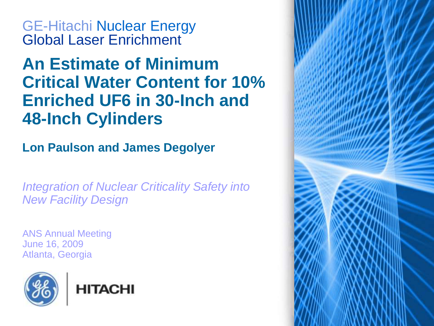GE-Hitachi Nuclear Energy Global Laser Enrichment

# **An Estimate of Minimum Critical Water Content for 10% Enriched UF6 in 30-Inch and 48-Inch Cylinders**

**Lon Paulson and James Degolyer** 

*Integration of Nuclear Criticality Safety into New Facility Design*

ANS Annual Meeting June 16, 2009 Atlanta, Georgia



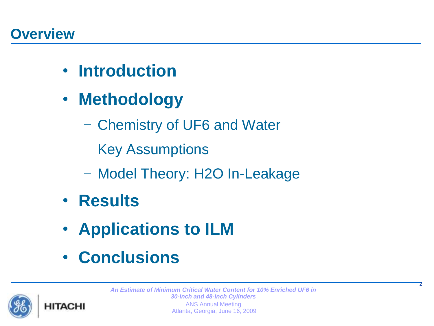- **Introduction**
- **Methodology**
	- Chemistry of UF6 and Water
	- Key Assumptions
	- Model Theory: H2O In-Leakage
- **Results**
- **Applications to ILM**
- **Conclusions**



*An Estimate of Minimum Critical Water Content for 10% Enriched UF6 in 30-Inch and 48-Inch Cylinders*  ANS Annual Meeting Atlanta, Georgia, June 16, 2009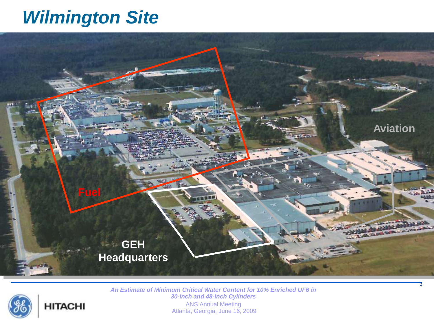# *Wilmington Site*



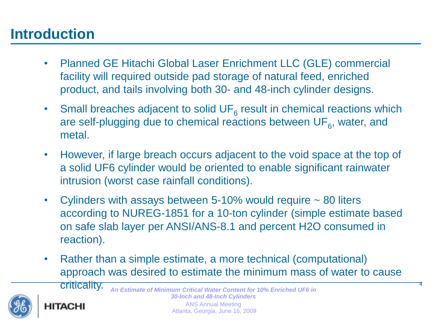#### **Introduction**

- Planned GE Hitachi Global Laser Enrichment LLC (GLE) commercial facility will required outside pad storage of natural feed, enriched product, and tails involving both 30- and 48-inch cylinder designs.
- Small breaches adjacent to solid  $UF<sub>6</sub>$  result in chemical reactions which are self-plugging due to chemical reactions between  $\mathsf{UF}_6$ , water, and metal.
- However, if large breach occurs adjacent to the void space at the top of a solid UF6 cylinder would be oriented to enable significant rainwater intrusion (worst case rainfall conditions).
- Cylinders with assays between  $5\n-10\%$  would require  $\sim 80$  liters according to NUREG-1851 for a 10-ton cylinder (simple estimate based on safe slab layer per ANSI/ANS-8.1 and percent H2O consumed in reaction).
- Rather than a simple estimate, a more technical (computational) approach was desired to estimate the minimum mass of water to cause

4



criticality.*An Estimate of Minimum Critical Water Content for 10% Enriched UF6 in 30-Inch and 48-Inch Cylinders*  ANS Annual Meeting HITACHI

Atlanta, Georgia, June 16, 2009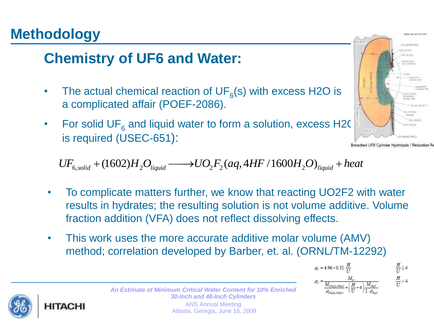## **Methodology**

## **Chemistry of UF6 and Water:**

- The actual chemical reaction of  $UF_6(s)$  with excess H2O is a complicated affair (POEF-2086).
- For solid UF<sub>6</sub> and liquid water to form a solution, excess H2C is required (USEC-651):

 $\begin{array}{r} \text{Bread UFB Cylinder Hydrolysis / Reduction Ru} \ \text{\textcolor{red}{\text{Bread UFB Cylinder Hydrolysis / Reduction Ru}} \ \text{\textcolor{red}{\text{Bread UFB Cylinder Hydrolysis / Reduction Ru}} \ \text{\textcolor{red}{\text{Bread UFB Cylinder Hydrolysis / Reduction Ru}} \ \text{\textcolor{red}{\text{Bread UFB Cylinder Hydrolysis / Reduction Ru}} \ \text{\textcolor{red}{\text{Bread UFB Cylinder Hydrolysis / Reduction Ru}} \ \text{\textcolor{red}{\text{Bread UFB Cylinder Hyldrolysis / Reduction Ru}} \ \text{\textcolor{red}{\text{Bread UFB Cylinder Hyldrolysis / Reduction Ru}} \ \$ 

- To complicate matters further, we know that reacting UO2F2 with water results in hydrates; the resulting solution is not volume additive. Volume fraction addition (VFA) does not reflect dissolving effects.
- This work uses the more accurate additive molar volume (AMV) method; correlation developed by Barber, et. al. (ORNL/TM-12292)



*An Estimate of Minimum Critical Water Content for 10% Enriched*  $\rho_v = \frac{M_v}{\frac{M_{U_0, p_1, 2H_0O}}{R_{U_0, p_1, 2H_0O}} + \left(\frac{H}{U} - \frac{H_0}{L}\right)}$ *30-Inch and 48-Inch Cylinders*  ANS Annual Meeting

Atlanta, Georgia, June 16, 2009



 $\frac{H}{U}$  > 4

 $\rho_U = 4.96 - 0.32 \cdot \frac{H}{H}$ 

trents NO \$35-81-100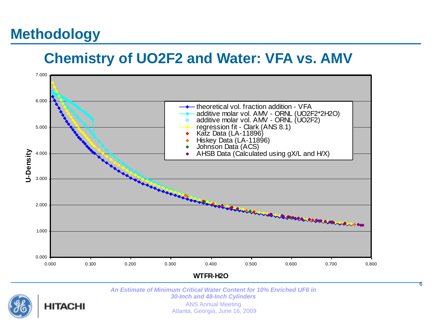## **Methodology**

#### **Chemistry of UO2F2 and Water: VFA vs. AMV**



*An Estimate of Minimum Critical Water Content for 10% Enriched UF6 in 30-Inch and 48-Inch Cylinders* 



ANS Annual Meeting Atlanta, Georgia, June 16, 2009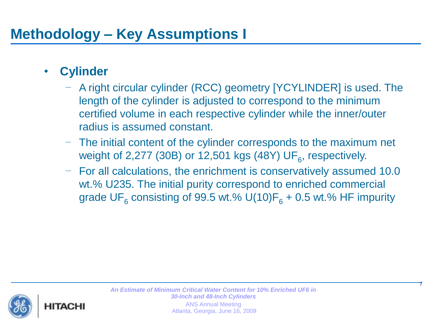## **Methodology – Key Assumptions I**

#### • **Cylinder**

- A right circular cylinder (RCC) geometry [YCYLINDER] is used. The length of the cylinder is adjusted to correspond to the minimum certified volume in each respective cylinder while the inner/outer radius is assumed constant.
- The initial content of the cylinder corresponds to the maximum net weight of 2,277 (30B) or 12,501 kgs (48Y)  $\mathsf{UF}_6$ , respectively.
- For all calculations, the enrichment is conservatively assumed 10.0 wt.% U235. The initial purity correspond to enriched commercial grade UF<sub>6</sub> consisting of 99.5 wt.% U(10)F<sub>6</sub> + 0.5 wt.% HF impurity

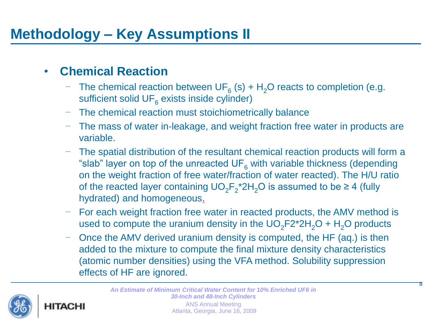#### • **Chemical Reaction**

- The chemical reaction between UF<sub>6</sub> (s) + H<sub>2</sub>O reacts to completion (e.g. sufficient solid UF $_{\rm 6}$  exists inside cylinder)
- The chemical reaction must stoichiometrically balance
- The mass of water in-leakage, and weight fraction free water in products are variable.
- The spatial distribution of the resultant chemical reaction products will form a "slab" layer on top of the unreacted  $UF<sub>6</sub>$  with variable thickness (depending on the weight fraction of free water/fraction of water reacted). The H/U ratio of the reacted layer containing  $UO_2F_2^*2H_2O$  is assumed to be  $\geq 4$  (fully hydrated) and homogeneous.
- For each weight fraction free water in reacted products, the AMV method is used to compute the uranium density in the  $UO_2F2^*2H_2O + H_2O$  products
- Once the AMV derived uranium density is computed, the HF (aq.) is then added to the mixture to compute the final mixture density characteristics (atomic number densities) using the VFA method. Solubility suppression effects of HF are ignored.

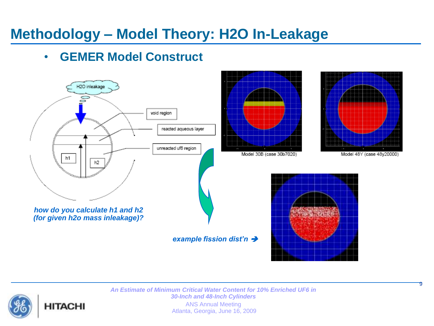#### • **GEMER Model Construct**

**HITACHI** 



*An Estimate of Minimum Critical Water Content for 10% Enriched UF6 in 30-Inch and 48-Inch Cylinders*  ANS Annual Meeting Atlanta, Georgia, June 16, 2009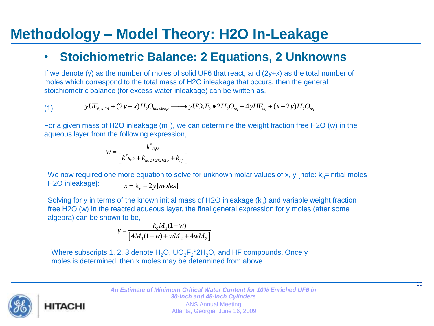#### • **Stoichiometric Balance: 2 Equations, 2 Unknowns**

If we denote (y) as the number of moles of solid UF6 that react, and (2y+x) as the total number of moles which correspond to the total mass of H2O inleakage that occurs, then the general stoichiometric balance (for excess water inleakage) can be written as,<br>
(1)  $yUF_{6, solid} + (2y + x)H_2O_{inleakage} \longrightarrow yUO_2F_2 \bullet 2H_2O_{aq} + 4yHF_{aq} + (x$ stoichiometric balance (for excess water inleakage) can be written as,

(1) 
$$
yUF_{6,solid} + (2y+x)H_2O_{inleakage} \longrightarrow yUO_2F_2 \bullet 2H_2O_{aq} + 4yHF_{aq} + (x-2y)H_2O_{aq}
$$

For a given mass of H2O inleakage ( $m_o$ ), we can determine the weight fraction free H2O (w) in the aqueous layer from the following expression,

$$
w = \frac{k^*_{h_2O}}{\left[k^*_{h_2O} + k_{uo2f2*2h2o} + k_{hf}\right]}
$$

We now required one more equation to solve for unknown molar values of x, y [note:  $k_0$ =initial moles H2O inleakage]:  $x = k_{o} - 2y$ {*moles*}

Solving for y in terms of the known initial mass of H2O inleakage  $(k_0)$  and variable weight fraction free H2O (w) in the reacted aqueous layer, the final general expression for y moles (after some algebra) can be shown to be,

in to be,  
\n
$$
y = \frac{k_o M_1 (1 - w)}{[4M_1 (1 - w) + wM_2 + 4wM_3]}
$$

Where subscripts 1, 2, 3 denote  $H_2O$ ,  $UO_2F_2^*2H_2O$ , and HF compounds. Once y moles is determined, then x moles may be determined from above.

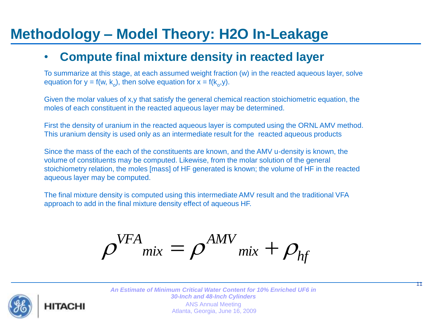#### • **Compute final mixture density in reacted layer**

To summarize at this stage, at each assumed weight fraction (w) in the reacted aqueous layer, solve equation for  $y = f(w, k_o)$ , then solve equation for  $x = f(k_o, y)$ .

Given the molar values of x,y that satisfy the general chemical reaction stoichiometric equation, the moles of each constituent in the reacted aqueous layer may be determined.

First the density of uranium in the reacted aqueous layer is computed using the ORNL AMV method. This uranium density is used only as an intermediate result for the reacted aqueous products

Since the mass of the each of the constituents are known, and the AMV u-density is known, the volume of constituents may be computed. Likewise, from the molar solution of the general stoichiometry relation, the moles [mass] of HF generated is known; the volume of HF in the reacted aqueous layer may be computed.

The final mixture density is computed using this intermediate AMV result and the traditional VFA approach to add in the final mixture density effect of aqueous HF.

$$
\rho^{VFA}_{mix} = \rho^{AMV}_{mix} + \rho_{hf}
$$



*An Estimate of Minimum Critical Water Content for 10% Enriched UF6 in 30-Inch and 48-Inch Cylinders*  ANS Annual Meeting Atlanta, Georgia, June 16, 2009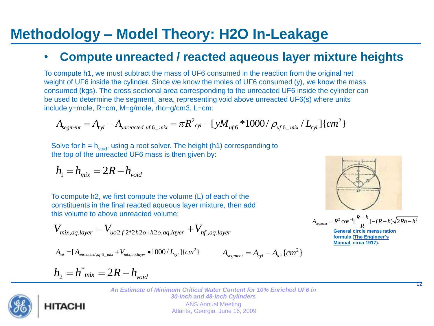#### • **Compute unreacted / reacted aqueous layer mixture heights**

To compute h1, we must subtract the mass of UF6 consumed in the reaction from the original net weight of UF6 inside the cylinder. Since we know the moles of UF6 consumed (y), we know the mass consumed (kgs). The cross sectional area corresponding to the unreacted UF6 inside the cylinder can<br>be used to determine the segment<sub>1</sub> area, representing void above unreacted UF6(s) where units<br>include y=mole, R=cm, M=g/ be used to determine the segment<sub>1</sub> area, representing void above unreacted UF6(s) where units<br>
include y=mole, R=cm, M=g/mole, rho=g/cm3, L=cm:<br>  $A_{\text{segment}} = A_{\text{cyl}} - A_{\text{unreacted of 16}}$  mix =  $\pi R^2_{\text{cyl}} - [yM_{\text{ufs}} * 1000 / \rho_{\text$ include y=mole, R=cm, M=g/mole, rho=g/cm3, L=cm:

$$
A_{segment} = A_{cyl} - A_{unreacted, uf 6\_mix} = \pi R^2_{cyl} - [yM_{uf 6} * 1000 / \rho_{uf 6\_mix} / L_{cyl}] \{ cm^2 \}
$$

Solve for  $h = h_{void}$ , using a root solver. The height (h1) corresponding to the top of the unreacted UF6 mass is then given by:

$$
h_{\rm l}=h_{\rm mix}=2R-h_{\rm void}
$$

To compute h2, we first compute the volume (L) of each of the constituents in the final reacted aqueous layer mixture, then add

this volume to above unreacted volume;  
\n
$$
V_{mix,aq,layer} = V_{uo2f2*2h2o+h2o,aq,layer} + V_{hf,aq,layer}
$$
\n
$$
A_{tot} = [A_{unreacted,uf6\_mix} + V_{mix,aq,layer} \bullet 1000/L_{cyl}]{cm2} \qquad A_{segment} = A_{cyl} - A_{tot} {cm2}
$$

$$
L_{\text{cated,uf 6\_mix}} + V_{\text{mix},\text{aq.layer}} \bullet 1000 / L_{\text{cyl}} \, \text{cm}^2
$$
\n
$$
A_{\text{segment}} = A_{\text{cyl}} - A_{\text{cyl}}
$$

$$
A_{segment} = A_{cyl} - A_{tot} \{ cm^2 \}
$$

12

 $A_{segment} = R^2 \cos^{-1}[\frac{R-h}{R}] - (R-h)\sqrt{2Rh - h^2}$  $-1$ <sub>r</sub> $R-$ 

**General circle mensuration formula (The Engineer's Manual, circa 1917).**

 $= R^{2} \cos^{-1}[\frac{R-h}{R}] - (R-h)\sqrt{2Rh - h^{2}}$ 

$$
h_2 = h^*_{mix} = 2R - h_{void}
$$

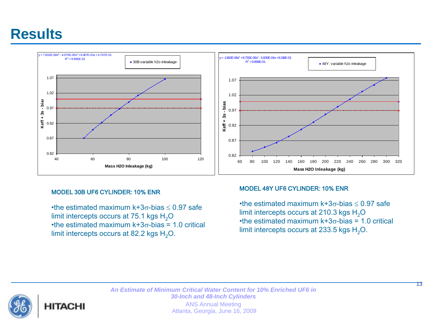#### **Results**



#### MODEL 30B UF6 CYLINDER: 10% ENR

•the estimated maximum  $k+3\sigma$ -bias  $\leq 0.97$  safe limit intercepts occurs at 75.1 kgs  $H_2O$ •the estimated maximum  $k+3\sigma$ -bias = 1.0 critical limit intercepts occurs at 82.2 kgs  $H_2O$ .

#### MODEL 48Y UF6 CYLINDER: 10% ENR

•the estimated maximum  $k+3\sigma$ -bias  $\leq 0.97$  safe limit intercepts occurs at 210.3 kgs  $H<sub>2</sub>O$ •the estimated maximum  $k+3\sigma$ -bias = 1.0 critical limit intercepts occurs at 233.5 kgs  $H_2O$ .

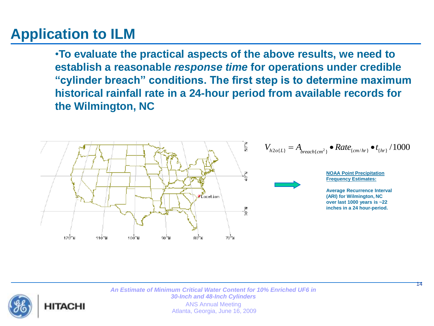## **Application to ILM**

HITACH

•**To evaluate the practical aspects of the above results, we need to establish a reasonable** *response time* **for operations under credible "cylinder breach" conditions. The first step is to determine maximum historical rainfall rate in a 24-hour period from available records for the Wilmington, NC** 



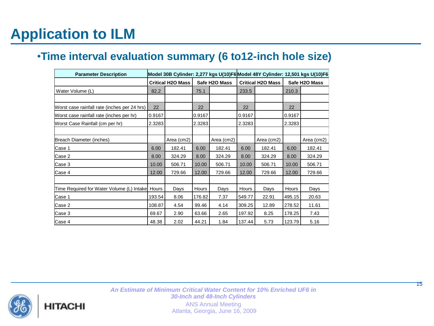## **Application to ILM**

#### •**Time interval evaluation summary (6 to12-inch hole size)**

| <b>Parameter Description</b>                    |                          |            |               |            | Model 30B Cylinder: 2,277 kgs U(10)F6 Model 48Y Cylinder: 12,501 kgs U(10)F6 |            |               |            |
|-------------------------------------------------|--------------------------|------------|---------------|------------|------------------------------------------------------------------------------|------------|---------------|------------|
|                                                 | <b>Critical H2O Mass</b> |            | Safe H2O Mass |            | <b>Critical H2O Mass</b>                                                     |            | Safe H2O Mass |            |
| Water Volume (L)                                | 82.2                     |            | 75.1          |            | 233.5                                                                        |            | 210.3         |            |
|                                                 |                          |            |               |            |                                                                              |            |               |            |
| Worst case rainfall rate (inches per 24 hrs)    | 22                       |            | 22            |            | 22                                                                           |            | 22            |            |
| Worst case rainfall rate (inches per hr)        | 0.9167                   |            | 0.9167        |            | 0.9167                                                                       |            | 0.9167        |            |
| Worst Case Rainfall (cm per hr)                 | 2.3283                   |            | 2.3283        |            | 2.3283                                                                       |            | 2.3283        |            |
|                                                 |                          |            |               |            |                                                                              |            |               |            |
| Breach Diameter (inches)                        |                          | Area (cm2) |               | Area (cm2) |                                                                              | Area (cm2) |               | Area (cm2) |
| Case 1                                          | 6.00                     | 182.41     | 6.00          | 182.41     | 6.00                                                                         | 182.41     | 6.00          | 182.41     |
| Case 2                                          | 8.00                     | 324.29     | 8.00          | 324.29     | 8.00                                                                         | 324.29     | 8.00          | 324.29     |
| Case 3                                          | 10.00                    | 506.71     | 10.00         | 506.71     | 10.00                                                                        | 506.71     | 10.00         | 506.71     |
| Case 4                                          | 12.00                    | 729.66     | 12.00         | 729.66     | 12.00                                                                        | 729.66     | 12.00         | 729.66     |
|                                                 |                          |            |               |            |                                                                              |            |               |            |
| Time Required for Water Volume (L) Intake Hours |                          | Days       | Hours         | Days       | Hours                                                                        | Days       | Hours         | Days       |
| Case 1                                          | 193.54                   | 8.06       | 176.82        | 7.37       | 549.77                                                                       | 22.91      | 495.15        | 20.63      |
| Case 2                                          | 108.87                   | 4.54       | 99.46         | 4.14       | 309.25                                                                       | 12.89      | 278.52        | 11.61      |
| Case 3                                          | 69.67                    | 2.90       | 63.66         | 2.65       | 197.92                                                                       | 8.25       | 178.25        | 7.43       |
| Case 4                                          | 48.38                    | 2.02       | 44.21         | 1.84       | 137.44                                                                       | 5.73       | 123.79        | 5.16       |



*An Estimate of Minimum Critical Water Content for 10% Enriched UF6 in 30-Inch and 48-Inch Cylinders*  ANS Annual Meeting Atlanta, Georgia, June 16, 2009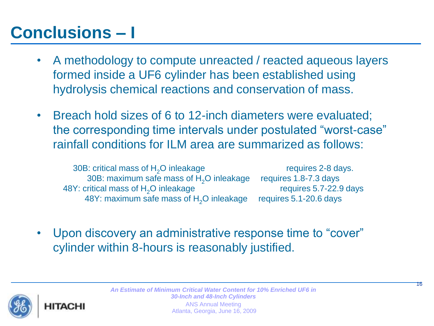# **Conclusions – I**

- A methodology to compute unreacted / reacted aqueous layers formed inside a UF6 cylinder has been established using hydrolysis chemical reactions and conservation of mass.
- Breach hold sizes of 6 to 12-inch diameters were evaluated; the corresponding time intervals under postulated "worst-case" rainfall conditions for ILM area are summarized as follows:

30B: critical mass of  $H_2O$  inleakage requires 2-8 days.<br>30B: maximum safe mass of H<sub>2</sub>O inleakage requires 1.8-7.3 days 30B: maximum safe mass of  $H_2O$  inleakage requires 1.8-7.3 days<br>ritical mass of H<sub>2</sub>O inleakage requires 5.7-22.9 days 48Y: critical mass of H<sub>2</sub>O inleakage requires 5.7-22.9<br>48Y: maximum safe mass of H<sub>2</sub>O inleakage requires 5.1-20.6 days 48Y: maximum safe mass of  $H_2O$  inleakage

• Upon discovery an administrative response time to "cover" cylinder within 8-hours is reasonably justified.